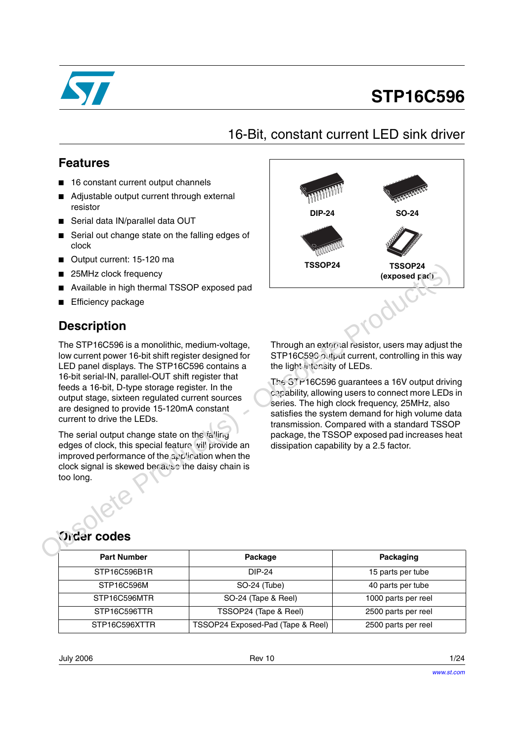

# **STP16C596**

16-Bit, constant current LED sink driver

### **Features**

- 16 constant current output channels
- Adjustable output current through external resistor
- Serial data IN/parallel data OUT
- Serial out change state on the falling edges of clock
- Output current: 15-120 ma
- 25MHz clock frequency
- Available in high thermal TSSOP exposed pad
- **Efficiency package**

### **Description**

The STP16C596 is a monolithic, medium-voltage, low current power 16-bit shift register designed for LED panel displays. The STP16C596 contains a 16-bit serial-IN, parallel-OUT shift register that feeds a 16-bit, D-type storage register. In the output stage, sixteen regulated current sources are designed to provide 15-120mA constant current to drive the LEDs. Obsolete Production Controllers and the production of the method obsolete Production Production Production Production Production Production Production Production Controllers and the production of the STP16C596 contains a

The serial output change state on the falling edges of clock, this special feature vil' provide an improved performance of the  $2p$  inclusion when the clock signal is skewed because the daisy chain is too long.



Through an external resistor, users may adjust the STP16C596 output current, controlling in this way the light intensity of LEDs.

The STP16C596 guarantees a 16V output driving canability, allowing users to connect more LEDs in series. The high clock frequency, 25MHz, also satisfies the system demand for high volume data transmission. Compared with a standard TSSOP package, the TSSOP exposed pad increases heat dissipation capability by a 2.5 factor.

### **Order codes**

| <b>Part Number</b> | Package                           | Packaging           |
|--------------------|-----------------------------------|---------------------|
| STP16C596B1R       | DIP-24                            | 15 parts per tube   |
| STP16C596M         | SO-24 (Tube)                      | 40 parts per tube   |
| STP16C596MTR       | SO-24 (Tape & Reel)               | 1000 parts per reel |
| STP16C596TTR       | TSSOP24 (Tape & Reel)             | 2500 parts per reel |
| STP16C596XTTR      | TSSOP24 Exposed-Pad (Tape & Reel) | 2500 parts per reel |

July 2006 Rev 10 1/24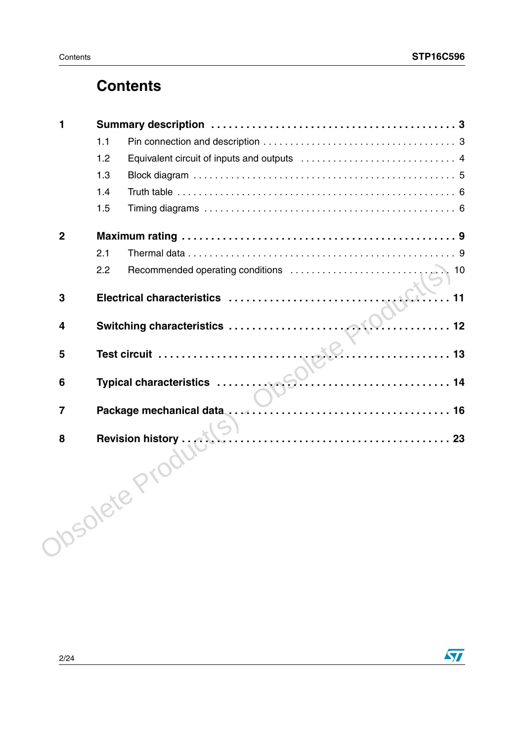### **Contents**

| 1              |     |                                                                                                                                                                                                                                  |
|----------------|-----|----------------------------------------------------------------------------------------------------------------------------------------------------------------------------------------------------------------------------------|
|                | 1.1 |                                                                                                                                                                                                                                  |
|                | 1.2 |                                                                                                                                                                                                                                  |
|                | 1.3 |                                                                                                                                                                                                                                  |
|                | 1.4 |                                                                                                                                                                                                                                  |
|                | 1.5 |                                                                                                                                                                                                                                  |
| $\overline{2}$ |     |                                                                                                                                                                                                                                  |
|                | 2.1 |                                                                                                                                                                                                                                  |
|                | 2.2 | Recommended operating conditions<br>$\sqrt{10}$                                                                                                                                                                                  |
| 3              |     |                                                                                                                                                                                                                                  |
| 4              |     |                                                                                                                                                                                                                                  |
| 5              |     |                                                                                                                                                                                                                                  |
| 6              |     |                                                                                                                                                                                                                                  |
| $\overline{7}$ |     | Package mechanical data<br>in the continuum of the contract of the case of the contract of the contract of the contract of the contract of the contract of the contract of the contract of the contract of the contract of the c |
| 8              |     |                                                                                                                                                                                                                                  |
|                |     | <b>hsolete Proof</b>                                                                                                                                                                                                             |
|                |     |                                                                                                                                                                                                                                  |

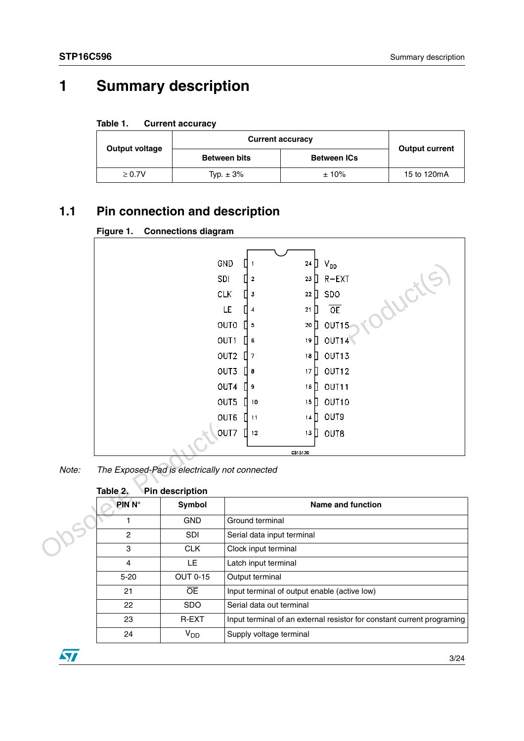# <span id="page-2-0"></span>**1 Summary description**

| Table 1. | <b>Current accuracy</b> |  |
|----------|-------------------------|--|
|----------|-------------------------|--|

| <b>Output voltage</b> | <b>Current accuracy</b> | <b>Output current</b> |             |
|-----------------------|-------------------------|-----------------------|-------------|
|                       | <b>Between bits</b>     | <b>Between ICs</b>    |             |
| $\geq 0.7V$           | Typ. $\pm$ 3%           | ±10%                  | 15 to 120mA |

### <span id="page-2-1"></span>**1.1 Pin connection and description**

| Figure 1. | <b>Connections diagram</b> |  |
|-----------|----------------------------|--|
|-----------|----------------------------|--|

|       |                    | GND                                           |                      |                            | 24 $\Box$<br>$V_{DD}$          |
|-------|--------------------|-----------------------------------------------|----------------------|----------------------------|--------------------------------|
|       |                    | SDI                                           | $\boldsymbol{2}$     |                            | $23$ $R-EXT$                   |
|       |                    | <b>CLK</b>                                    | $\overline{3}$       |                            | ductl<br>$22$ SDO              |
|       |                    |                                               | LE<br>$\overline{4}$ | 21                         | OE<br>Ш                        |
|       |                    |                                               | <b>OUTO</b><br>l 5   |                            | OUT15<br>$20$ $\Box$           |
|       |                    |                                               | OUT1<br>6            | 19                         | OUT14<br>$\mathbb{I}$          |
|       |                    |                                               | OUT2<br>$\prod$ 7    |                            | OUT13<br>18 $\prod$            |
|       |                    |                                               | OUT3<br>$\prod$ 8    |                            | OUT12<br>17 $\Box$             |
|       |                    |                                               | OUT4<br>Iэ           |                            | OUT <sub>11</sub><br>16 $\Box$ |
|       |                    |                                               | OUT5<br>  10         |                            | OUT10<br>15 $\Box$             |
|       |                    |                                               | OUT6<br>11           |                            | OUT9<br>14 $\Pi$               |
|       |                    |                                               | OUT7<br>$\Pi$ 12     |                            | $13$ $\Box$<br>OUT8            |
|       |                    |                                               |                      | CS15120                    |                                |
| Note: |                    | The Exposed-Pad is electrically not connected |                      |                            |                                |
|       |                    |                                               |                      |                            |                                |
|       | Table 2.           | Pin description                               |                      |                            |                                |
|       | PIN <sub>N</sub> ° | Symbol                                        |                      |                            | <b>Name and function</b>       |
|       | 1                  | <b>GND</b>                                    | Ground terminal      |                            |                                |
|       | $\mathbf{2}$       | SDI                                           |                      | Serial data input terminal |                                |
|       | $\,$ 3 $\,$        | <b>CLK</b>                                    |                      | Clock input terminal       |                                |
|       |                    |                                               |                      |                            |                                |

| Table 2. | Pin description |  |
|----------|-----------------|--|
|          |                 |  |

| $PIN N^{\circ}$ | <b>Symbol</b>   | Name and function                                                      |
|-----------------|-----------------|------------------------------------------------------------------------|
|                 | <b>GND</b>      | Ground terminal                                                        |
| 2               | <b>SDI</b>      | Serial data input terminal                                             |
| 3               | <b>CLK</b>      | Clock input terminal                                                   |
| 4               | LE              | Latch input terminal                                                   |
| $5 - 20$        | <b>OUT 0-15</b> | Output terminal                                                        |
| 21              | Œ               | Input terminal of output enable (active low)                           |
| 22              | <b>SDO</b>      | Serial data out terminal                                               |
| 23              | <b>R-EXT</b>    | Input terminal of an external resistor for constant current programing |
| 24              | $V_{DD}$        | Supply voltage terminal                                                |

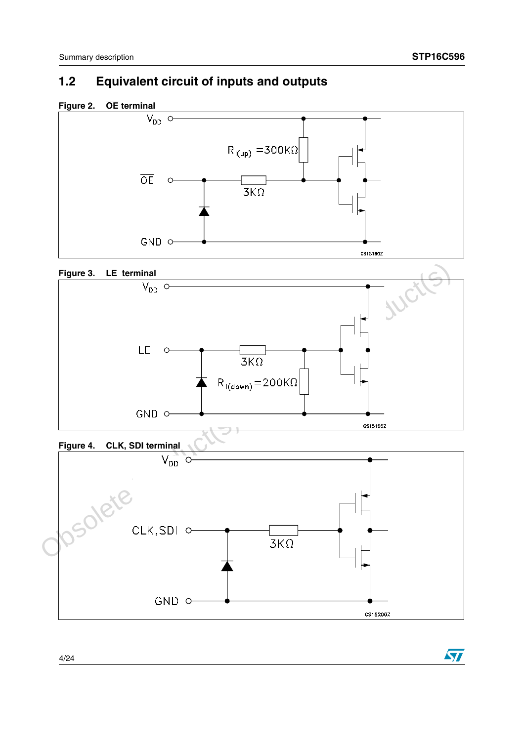### <span id="page-3-0"></span>**1.2 Equivalent circuit of inputs and outputs**







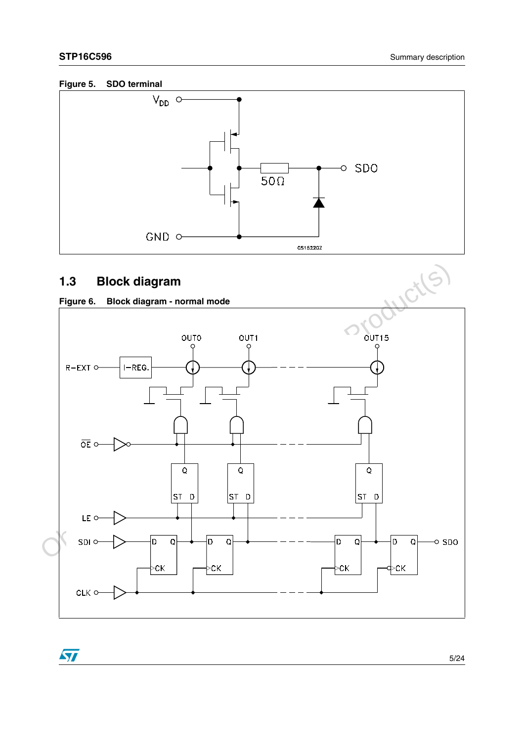#### **Figure 5. SDO terminal**



### <span id="page-4-1"></span><span id="page-4-0"></span>**1.3 Block diagram**



 $\sqrt{2}$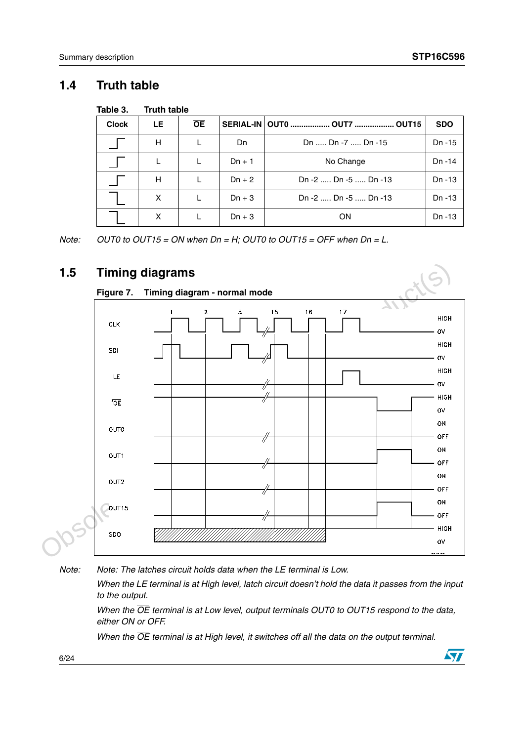### <span id="page-5-0"></span>**1.4 Truth table**

| Table 3.     | <b>Truth table</b> |           |          |                                             |            |
|--------------|--------------------|-----------|----------|---------------------------------------------|------------|
| <b>Clock</b> | LE                 | <b>OE</b> |          | SERIAL-IN   OUT0  OUT7<br>OUT <sub>15</sub> | <b>SDO</b> |
|              | H                  |           | Dn       | Dn  Dn -7  Dn -15                           |            |
|              | L                  | L         | $Dn + 1$ | No Change                                   | Dn -14     |
|              | н                  | L         | $Dn + 2$ | Dn -2  Dn -5  Dn -13                        | Dn -13     |
|              | X                  | L         | $Dn + 3$ | Dn -2  Dn -5  Dn -13                        | Dn -13     |
|              | X                  |           | $Dn + 3$ | ON                                          | Dn -13     |

*Note: OUT0 to OUT15 = ON when Dn = H; OUT0 to OUT15 = OFF when Dn = L.*

### <span id="page-5-1"></span>**1.5 Timing diagrams**



*Note: Note: The latches circuit holds data when the LE terminal is Low.*

*When the LE terminal is at High level, latch circuit doesn't hold the data it passes from the input to the output.*

*When the OE terminal is at Low level, output terminals OUT0 to OUT15 respond to the data, either ON or OFF.*

*When the OE terminal is at High level, it switches off all the data on the output terminal.* 

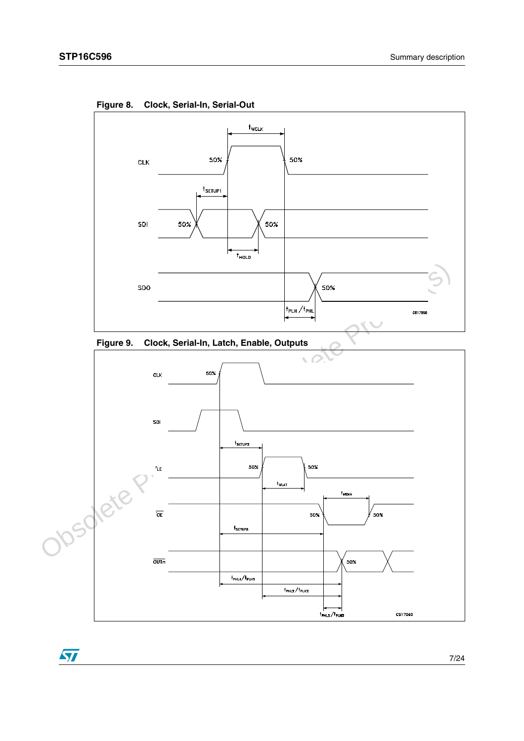

**Figure 8. Clock, Serial-In, Serial-Out**



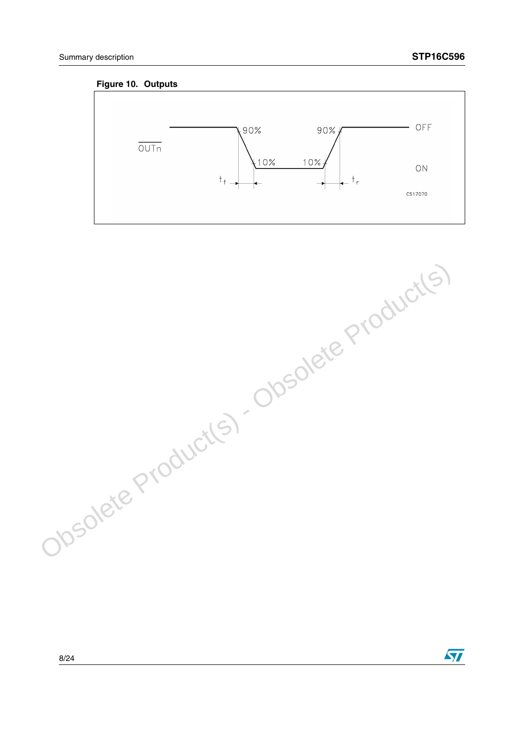#### **Figure 10. Outputs**



Obsolete Product(s) - Obsolete Product(s)

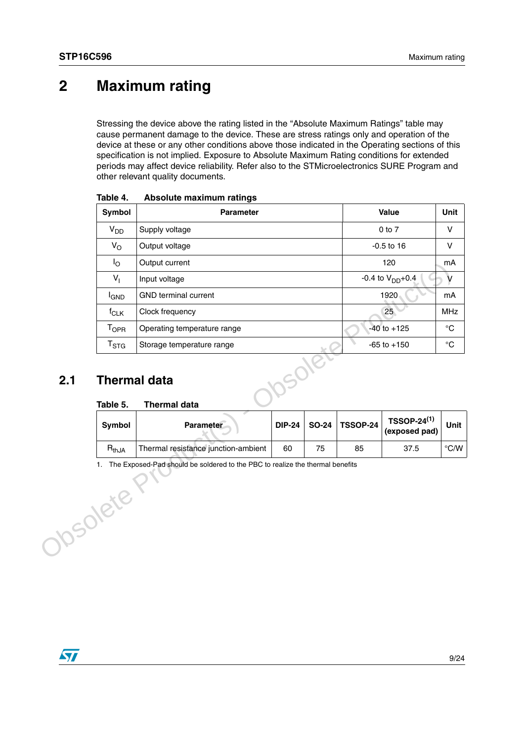## <span id="page-8-0"></span>**2 Maximum rating**

Stressing the device above the rating listed in the "Absolute Maximum Ratings" table may cause permanent damage to the device. These are stress ratings only and operation of the device at these or any other conditions above those indicated in the Operating sections of this specification is not implied. Exposure to Absolute Maximum Rating conditions for extended periods may affect device reliability. Refer also to the STMicroelectronics SURE Program and other relevant quality documents.

|     | Symbol                          | <b>Parameter</b>                    |               |              | Value           |                                     | Unit              |
|-----|---------------------------------|-------------------------------------|---------------|--------------|-----------------|-------------------------------------|-------------------|
|     | V <sub>DD</sub>                 | Supply voltage                      |               |              |                 |                                     | V                 |
|     | $V_{\rm O}$                     | Output voltage                      |               |              |                 |                                     | $\mathsf{V}$      |
|     | $I_{\rm O}$                     | Output current                      |               |              |                 | 120                                 | mA                |
|     | $V_{\parallel}$                 | Input voltage                       |               |              |                 | -0.4 to $V_{DD}+0.4$                | v                 |
|     | <b>I<sub>GND</sub></b>          | <b>GND</b> terminal current         |               |              |                 | 1920                                | mA                |
|     | $f_{CLK}$                       | Clock frequency                     |               |              |                 | 25 <sup>°</sup>                     | <b>MHz</b>        |
|     | $T_{\mathsf{OPR}}$              | Operating temperature range         |               |              |                 | $-40$ to $+125$                     | $^{\circ}{\rm C}$ |
|     | $T_{\rm STG}$                   | Storage temperature range           |               |              |                 | $-65$ to $+150$                     | $^{\circ}{\rm C}$ |
| 2.1 | <b>Thermal data</b><br>Table 5. | <b>Thermal data</b>                 |               |              |                 |                                     |                   |
|     |                                 |                                     |               |              |                 |                                     |                   |
|     | <b>Symbol</b>                   | Parameter                           | <b>DIP-24</b> | <b>SO-24</b> | <b>TSSOP-24</b> | <b>TSSOP-24(1)</b><br>(exposed pad) | <b>Unit</b>       |
|     | $R_{thJA}$                      | Thermal resistance junction-ambient | 60            | 75           | 85              | 37.5                                | $^{\circ}$ C/W    |

**Table 4. Absolute maximum ratings**

### <span id="page-8-1"></span>**2.1 Thermal data**

#### **Table 5. Thermal data**

| Symbol     | <b>Parameter</b>                    |    |    |    | $\left\vert \rule{0pt}{10pt}\right.$ DIP-24 $\left\vert \rule{0pt}{10pt}\right.$ SO-24 $\left\vert \rule{0pt}{10pt}\right.$ TSSOP-24 $\left\vert \rule{0pt}{10pt}\right.$ TSSOP-24 <sup>(1)</sup> (exposed pad) $\left\vert \right.$ | Unit |
|------------|-------------------------------------|----|----|----|--------------------------------------------------------------------------------------------------------------------------------------------------------------------------------------------------------------------------------------|------|
| $R_{thJA}$ | Thermal resistance junction-ambient | 60 | 75 | 85 | 37.5                                                                                                                                                                                                                                 | °C/W |

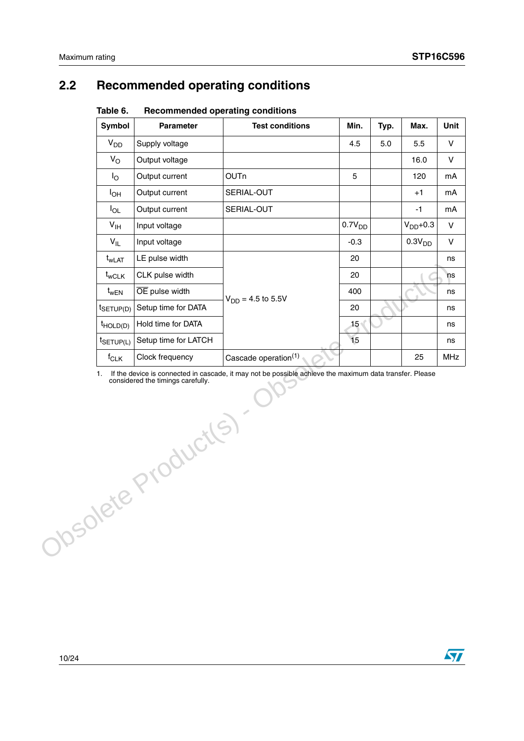### <span id="page-9-0"></span>**2.2 Recommended operating conditions**

| iuwiu v.<br>nccommenaca operating conditions |                      |                                  |                    |      |                    |             |
|----------------------------------------------|----------------------|----------------------------------|--------------------|------|--------------------|-------------|
| Symbol                                       | <b>Parameter</b>     | <b>Test conditions</b>           | Min.               | Typ. | Max.               | <b>Unit</b> |
| $V_{DD}$                                     | Supply voltage       |                                  | 4.5                | 5.0  | 5.5                | V           |
| $V_{\rm O}$                                  | Output voltage       |                                  |                    |      | 16.0               | $\vee$      |
| $I_{\rm O}$                                  | Output current       | <b>OUTn</b>                      | 5                  |      | 120                | mA          |
| I <sub>OH</sub>                              | Output current       | SERIAL-OUT                       |                    |      | $+1$               | mA          |
| $I_{OL}$                                     | Output current       | SERIAL-OUT                       |                    |      | $-1$               | mA          |
| $V_{\text{IH}}$                              | Input voltage        |                                  | 0.7V <sub>DD</sub> |      | $V_{DD}+0.3$       | $\vee$      |
| $V_{IL}$                                     | Input voltage        |                                  | $-0.3$             |      | 0.3V <sub>DD</sub> | $\vee$      |
| $t_{\sf wLAT}$                               | LE pulse width       |                                  | 20                 |      |                    | ns          |
| $t_{\text{wCLK}}$                            | CLK pulse width      |                                  | 20                 |      |                    | ns          |
| $t_{\text{wEN}}$                             | OE pulse width       | $V_{DD} = 4.5$ to 5.5V           | 400                |      |                    | ns          |
| t <sub>SETUP(D)</sub>                        | Setup time for DATA  |                                  | 20                 |      |                    | ns          |
| $t_{HOLD(D)}$                                | Hold time for DATA   |                                  | 15 <sub>3</sub>    |      |                    | ns          |
| $t$ SETUP(L)                                 | Setup time for LATCH |                                  | 15                 |      |                    | ns          |
| $f_{CLK}$                                    | Clock frequency      | Cascade operation <sup>(1)</sup> |                    |      | 25                 | <b>MHz</b>  |

#### **Table 6. Recommended operating conditions**

1. If the device is connected in cascade, it may not be<br>considered the timings carefully. 1. If the device is connected in cascade, it may not be possible achieve the maximum data transfer. Please considered the timings carefully.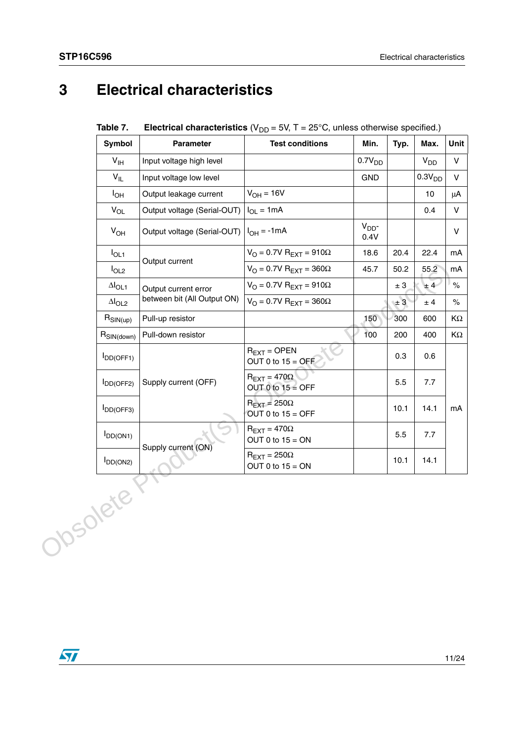# <span id="page-10-0"></span>**3 Electrical characteristics**

| Table 7. | <b>Electrical characteristics</b> ( $V_{DD}$ = 5V, T = 25°C, unless otherwise specified.) |
|----------|-------------------------------------------------------------------------------------------|
|----------|-------------------------------------------------------------------------------------------|

|          | Symbol                        | <b>Parameter</b>                             | <b>Test conditions</b>                              | Min.                    | Typ.    | Max.               | Unit         |
|----------|-------------------------------|----------------------------------------------|-----------------------------------------------------|-------------------------|---------|--------------------|--------------|
|          | V <sub>IH</sub>               | Input voltage high level                     |                                                     | 0.7V <sub>DD</sub>      |         | $V_{DD}$           | $\mathsf{V}$ |
|          | $V_{IL}$                      | Input voltage low level                      |                                                     | <b>GND</b>              |         | 0.3V <sub>DD</sub> | $\mathsf{V}$ |
|          | $I_{OH}$                      | Output leakage current                       | $V_{OH} = 16V$                                      |                         |         | 10                 | μA           |
|          | $V_{OL}$                      | Output voltage (Serial-OUT)                  | $I_{OL} = 1mA$                                      |                         |         | 0.4                | $\mathsf{V}$ |
|          | $V_{OH}$                      | Output voltage (Serial-OUT) $ I_{OH} = -1mA$ |                                                     | V <sub>DD</sub><br>0.4V |         |                    | V            |
|          | $I_{OL1}$                     | Output current                               | $V_O$ = 0.7V R <sub>EXT</sub> = 910 $\Omega$        | 18.6                    | 20.4    | 22.4               | mA           |
|          | $I_{OL2}$                     |                                              | $V_O = 0.7V R_{EXT} = 360\Omega$                    | 45.7                    | 50.2    | 55.2               | mA           |
|          | $\Delta I_{OL1}$              | Output current error                         | $V_O$ = 0.7V R <sub>EXT</sub> = 910 $\Omega$        |                         | ± 3     | ±4                 | $\%$         |
|          | $\Delta I_{OL2}$              | between bit (All Output ON)                  | $V_O$ = 0.7V R <sub>EXT</sub> = 360 $\Omega$        |                         | $\pm 3$ | ± 4                | $\%$         |
|          | $R_{\text{SIN}(\text{up})}$   | Pull-up resistor                             |                                                     | 150                     | 300     | 600                | ΚΩ           |
|          | $R_{\text{SIN}(\text{down})}$ | Pull-down resistor                           |                                                     | 100                     | 200     | 400                | ΚΩ           |
|          | DD(OFF1)                      |                                              | $R_{EXT} =$ OPEN<br>OUT 0 to $15 =$ OFF             |                         | 0.3     | 0.6                |              |
|          | $I_{DD(OFF2)}$                | Supply current (OFF)                         | $R_{\text{EXT}} = 470\Omega$<br>OUT 0 to $15 =$ OFF |                         | 5.5     | 7.7                |              |
|          | $I_{DD(OFF3)}$                |                                              | $R_{\text{FXT}} = 250\Omega$<br>OUT 0 to $15 =$ OFF |                         | 10.1    | 14.1               | mA           |
|          | $I_{DD(ON1)}$                 |                                              | $R_{\text{EXT}} = 470\Omega$<br>OUT 0 to $15 = ON$  |                         | 5.5     | 7.7                |              |
|          | $I_{DD(ON2)}$                 | Supply current (ON)                          | $R_{\text{EXT}} = 250\Omega$<br>OUT 0 to $15 = ON$  |                         | 10.1    | 14.1               |              |
| Josolete |                               |                                              |                                                     |                         |         |                    |              |

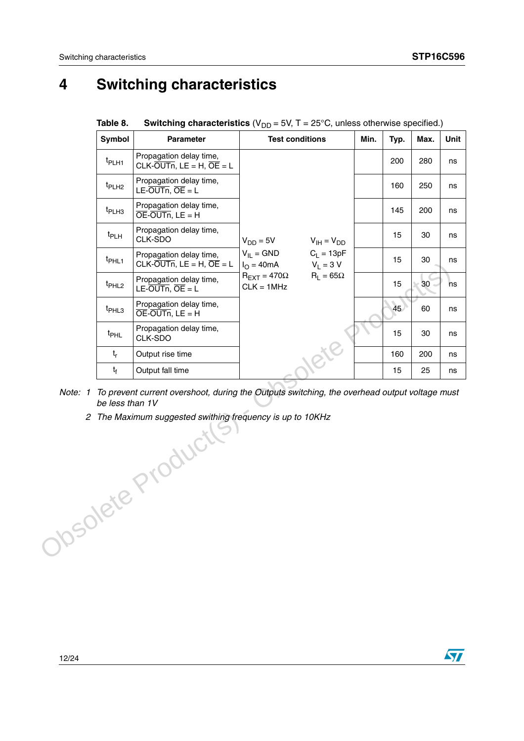# <span id="page-11-0"></span>**4 Switching characteristics**

| Symbol            | <b>Parameter</b>                                                       |                                                                             | <b>Test conditions</b> | Min. | Typ. | Max. | Unit      |
|-------------------|------------------------------------------------------------------------|-----------------------------------------------------------------------------|------------------------|------|------|------|-----------|
| t <sub>PLH1</sub> | Propagation delay time,<br>CLK-OUTn, LE = H, $\overline{OE}$ = L       |                                                                             |                        |      | 200  | 280  | ns        |
| t <sub>PLH2</sub> | Propagation delay time,<br>LE-OUTn, $\overline{OE} = L$                |                                                                             |                        |      | 160  | 250  | ns        |
| t <sub>PLH3</sub> | Propagation delay time,<br>$\overline{OE}$ -OUTn, LE = H               |                                                                             |                        |      | 145  | 200  | ns        |
| $t_{PLH}$         | Propagation delay time,<br>CLK-SDO                                     | $V_{DD} = 5V$                                                               | $V_{IH} = V_{DD}$      |      | 15   | 30   | ns        |
| t <sub>PHL1</sub> | Propagation delay time,<br>$CLK$ -OUTn, $LE = H$ , $\overline{OE} = L$ | $V_{II} = GND$<br>$I_{\Omega} = 40 \text{ mA}$ $V_{\text{I}} = 3 \text{ V}$ | $C_1 = 13pF$           |      | 15   | 30   | ns        |
| t <sub>PHL2</sub> | Propagation delay time,<br>$LE$ -OUTn, OE = L                          | $R_{\text{FXT}}$ = 470 $\Omega$<br>$CLK = 1MHz$                             | $R_1 = 65\Omega$       |      | 15   | 30   | <b>ns</b> |
| t <sub>PHL3</sub> | Propagation delay time,<br>$\overline{OE}$ -OUTn, LE = H               |                                                                             |                        |      | 45   | 60   | ns        |
| t <sub>PHL</sub>  | Propagation delay time,<br>CLK-SDO                                     |                                                                             |                        |      | 15   | 30   | ns        |
| $t_{r}$           | Output rise time                                                       |                                                                             |                        |      | 160  | 200  | ns        |
| $t_{\rm f}$       | Output fall time                                                       |                                                                             |                        |      | 15   | 25   | ns        |

**Table 8.** Switching characteristics  $(V_{DD} = 5V, T = 25^{\circ}C,$  unless otherwise specified.)

*Note: 1 To prevent current overshoot, during the Outputs switching, the overhead output voltage must be less than 1V*

-withing<br>Obsolete Production *2 The Maximum suggested swithing frequency is up to 10KHz*

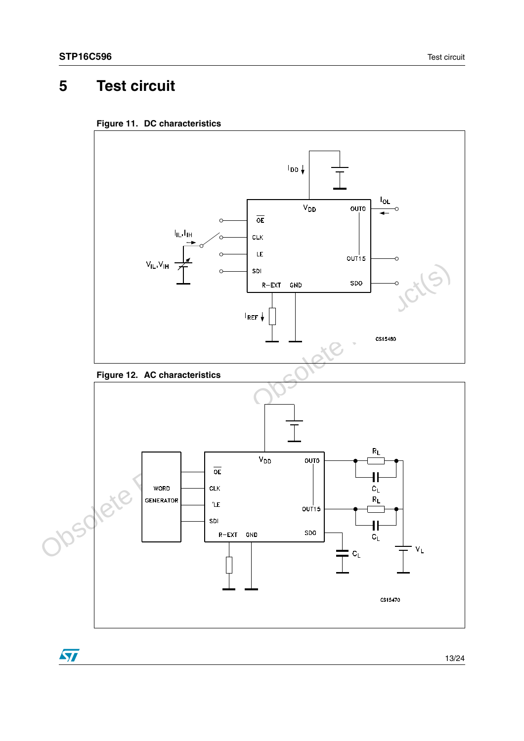$\sqrt{2}$ 

# <span id="page-12-0"></span>**5 Test circuit**







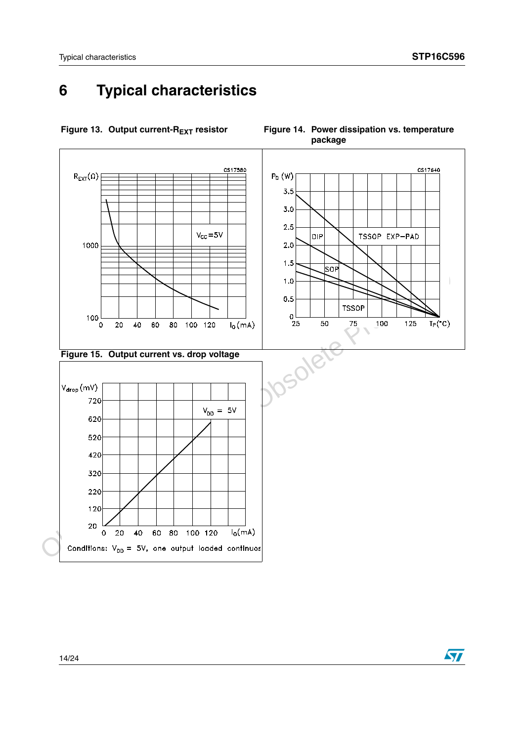## <span id="page-13-0"></span>**6 Typical characteristics**



Figure 13. Output current-R<sub>EXT</sub> resistor Figure 14. Power dissipation vs. temperature

 $\bm{\varpi}$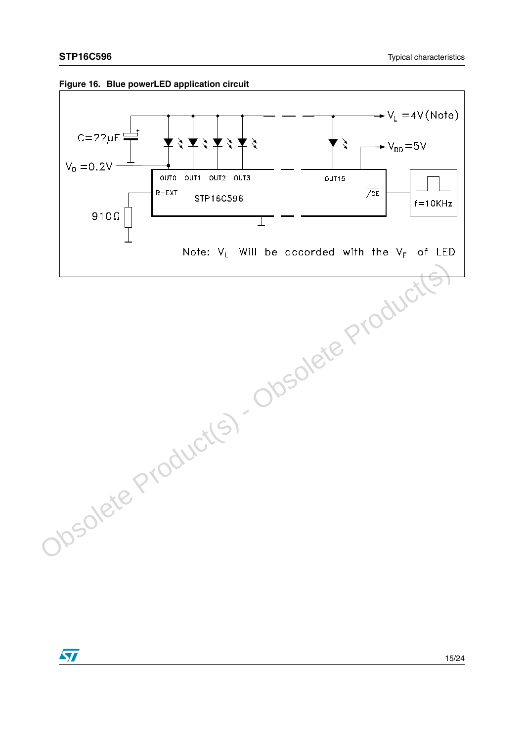



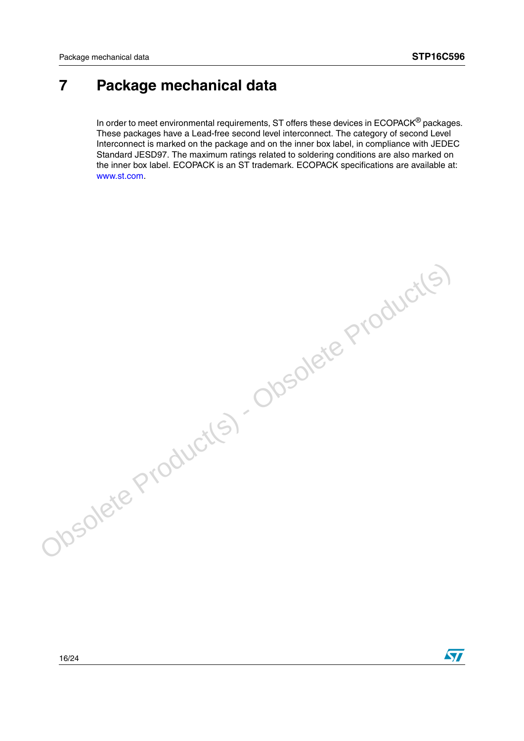ST

## <span id="page-15-0"></span>**7 Package mechanical data**

In order to meet environmental requirements, ST offers these devices in ECOPACK<sup>®</sup> packages. These packages have a Lead-free second level interconnect. The category of second Level Interconnect is marked on the package and on the inner box label, in compliance with JEDEC Standard JESD97. The maximum ratings related to soldering conditions are also marked on the inner box label. ECOPACK is an ST trademark. ECOPACK specifications are available at: www.st.com.

Obsolete Product(s) - Obsolete Product(s)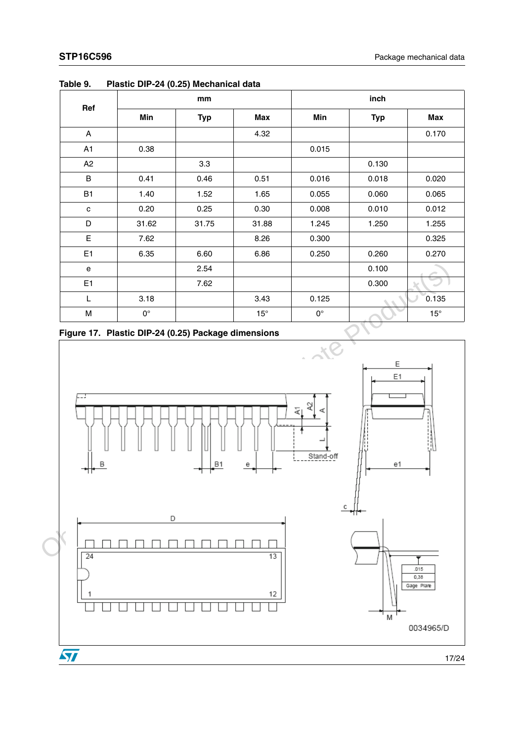|         |             | mm         |              | inch        |            |              |
|---------|-------------|------------|--------------|-------------|------------|--------------|
| Ref     | Min         | <b>Typ</b> | Max          | Min         | <b>Typ</b> | <b>Max</b>   |
| A       |             |            | 4.32         |             |            | 0.170        |
| A1      | 0.38        |            |              | 0.015       |            |              |
| A2      |             | 3.3        |              |             | 0.130      |              |
| $\sf B$ | 0.41        | 0.46       | 0.51         | 0.016       | 0.018      | 0.020        |
| B1      | 1.40        | 1.52       | 1.65         | 0.055       | 0.060      | 0.065        |
| C       | 0.20        | 0.25       | 0.30         | 0.008       | 0.010      | 0.012        |
| D       | 31.62       | 31.75      | 31.88        | 1.245       | 1.250      | 1.255        |
| E       | 7.62        |            | 8.26         | 0.300       |            | 0.325        |
| E1      | 6.35        | 6.60       | 6.86         | 0.250       | 0.260      | 0.270        |
| e       |             | 2.54       |              |             | 0.100      |              |
| E1      |             | 7.62       |              |             | 0.300      |              |
| L       | 3.18        |            | 3.43         | 0.125       |            | 0.135        |
| M       | $0^{\circ}$ |            | $15^{\circ}$ | $0^{\circ}$ |            | $15^{\circ}$ |

**Table 9. Plastic DIP-24 (0.25) Mechanical data**



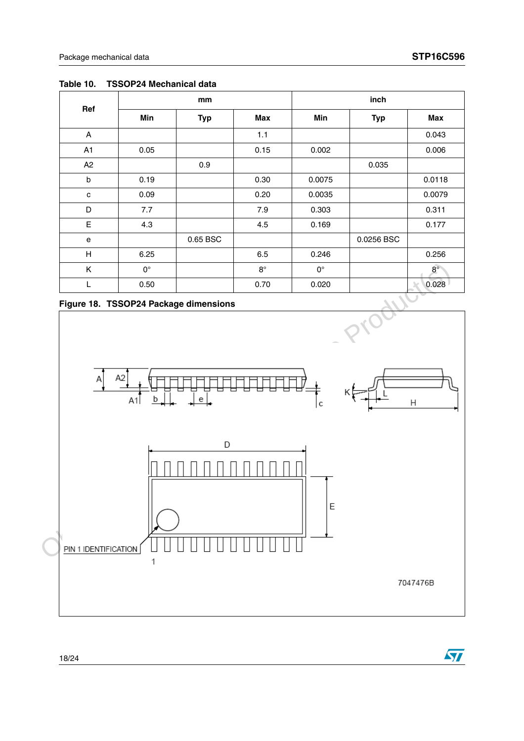$\sqrt{5}$ 

| Ref            |             | mm         |           |             | inch       |             |  |
|----------------|-------------|------------|-----------|-------------|------------|-------------|--|
|                | Min         | <b>Typ</b> | Max       | Min         | <b>Typ</b> | Max         |  |
| Α              |             |            | 1.1       |             |            | 0.043       |  |
| A <sub>1</sub> | 0.05        |            | 0.15      | 0.002       |            | 0.006       |  |
| A2             |             | 0.9        |           |             | 0.035      |             |  |
| $\mathsf{b}$   | 0.19        |            | 0.30      | 0.0075      |            | 0.0118      |  |
| $\mathbf c$    | 0.09        |            | 0.20      | 0.0035      |            | 0.0079      |  |
| D              | 7.7         |            | 7.9       | 0.303       |            | 0.311       |  |
| E              | 4.3         |            | 4.5       | 0.169       |            | 0.177       |  |
| e              |             | 0.65 BSC   |           |             | 0.0256 BSC |             |  |
| H              | 6.25        |            | 6.5       | 0.246       |            | 0.256       |  |
| K              | $0^{\circ}$ |            | $8^\circ$ | $0^{\circ}$ |            | $8^{\circ}$ |  |
| L              | 0.50        |            | 0.70      | 0.020       |            | 0.028       |  |

**Table 10. TSSOP24 Mechanical data**



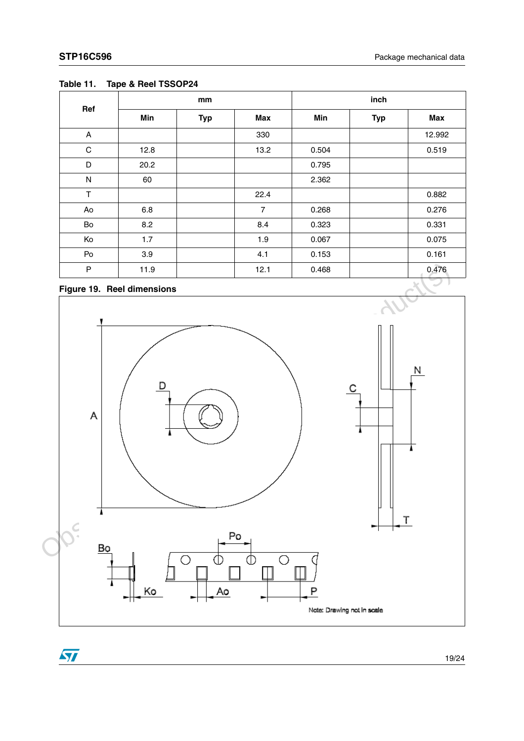|             |      | mm         |                | inch  |            |        |
|-------------|------|------------|----------------|-------|------------|--------|
| Ref         | Min  | <b>Typ</b> | Max            | Min   | <b>Typ</b> | Max    |
| A           |      |            | 330            |       |            | 12.992 |
| $\mathbf C$ | 12.8 |            | 13.2           | 0.504 |            | 0.519  |
| D           | 20.2 |            |                | 0.795 |            |        |
| ${\sf N}$   | 60   |            |                | 2.362 |            |        |
| T           |      |            | 22.4           |       |            | 0.882  |
| Ao          | 6.8  |            | $\overline{7}$ | 0.268 |            | 0.276  |
| Bo          | 8.2  |            | 8.4            | 0.323 |            | 0.331  |
| Ko          | 1.7  |            | 1.9            | 0.067 |            | 0.075  |
| Po          | 3.9  |            | 4.1            | 0.153 |            | 0.161  |
| P           | 11.9 |            | 12.1           | 0.468 |            | 0.476  |

### **Table 11. Tape & Reel TSSOP24**

### **Figure 19. Reel dimensions**

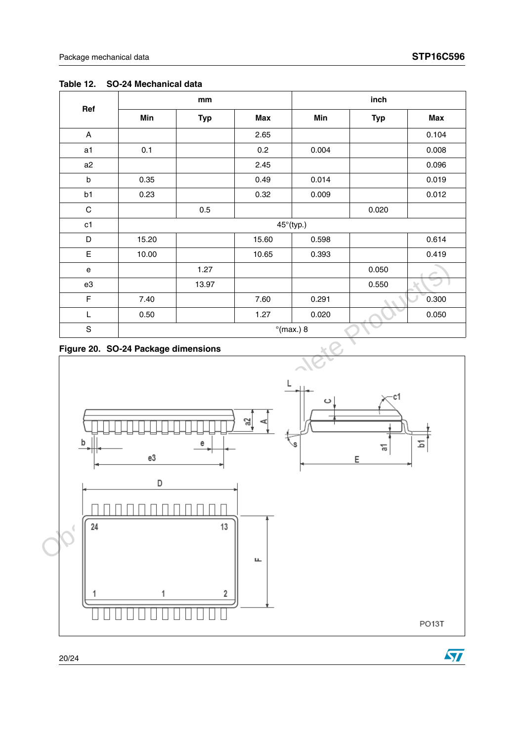$\sqrt{2}$ 

| Ref            | mm    |            |       | inch                |            |       |
|----------------|-------|------------|-------|---------------------|------------|-------|
|                | Min   | <b>Typ</b> | Max   | Min                 | <b>Typ</b> | Max   |
| A              |       |            | 2.65  |                     |            | 0.104 |
| a <sub>1</sub> | 0.1   |            | 0.2   | 0.004               |            | 0.008 |
| a2             |       |            | 2.45  |                     |            | 0.096 |
| b              | 0.35  |            | 0.49  | 0.014               |            | 0.019 |
| b1             | 0.23  |            | 0.32  | 0.009               |            | 0.012 |
| $\mathsf C$    |       | 0.5        |       |                     | 0.020      |       |
| c1             |       |            |       | $45^\circ$ (typ.)   |            |       |
| D              | 15.20 |            | 15.60 | 0.598               |            | 0.614 |
| E              | 10.00 |            | 10.65 | 0.393               |            | 0.419 |
| e              |       | 1.27       |       |                     | 0.050      |       |
| e3             |       | 13.97      |       |                     | 0.550      |       |
| $\mathsf F$    | 7.40  |            | 7.60  | 0.291               |            | 0.300 |
| L              | 0.50  |            | 1.27  | 0.020               |            | 0.050 |
| $\mathbf S$    |       |            |       | $^{\circ}$ (max.) 8 |            |       |

#### **Table 12. SO-24 Mechanical data**

#### **Figure 20. SO-24 Package dimensions**

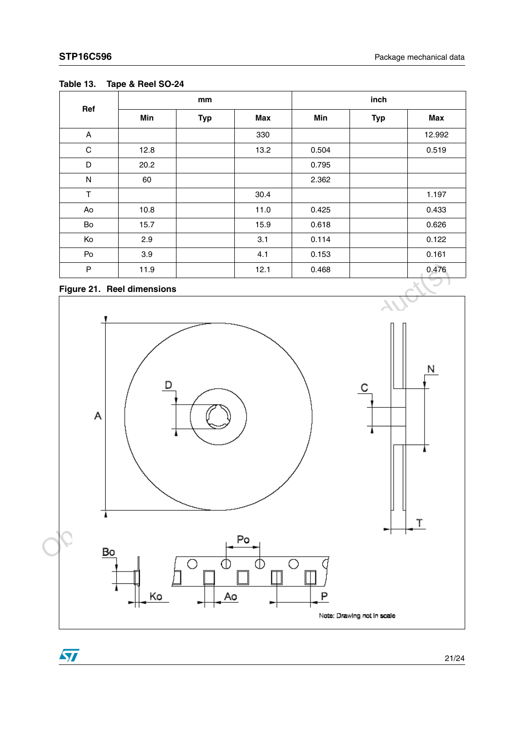|             |      | mm         |      |       |            |        |
|-------------|------|------------|------|-------|------------|--------|
| Ref         | Min  | <b>Typ</b> | Max  | Min   | <b>Typ</b> | Max    |
| A           |      |            | 330  |       |            | 12.992 |
| $\mathbf C$ | 12.8 |            | 13.2 | 0.504 |            | 0.519  |
| D           | 20.2 |            |      | 0.795 |            |        |
| ${\sf N}$   | 60   |            |      | 2.362 |            |        |
| T           |      |            | 30.4 |       |            | 1.197  |
| Ao          | 10.8 |            | 11.0 | 0.425 |            | 0.433  |
| Bo          | 15.7 |            | 15.9 | 0.618 |            | 0.626  |
| Ko          | 2.9  |            | 3.1  | 0.114 |            | 0.122  |
| Po          | 3.9  |            | 4.1  | 0.153 |            | 0.161  |
| P           | 11.9 |            | 12.1 | 0.468 |            | 0.476  |

#### **Table 13. Tape & Reel SO-24**

### **Figure 21. Reel dimensions**

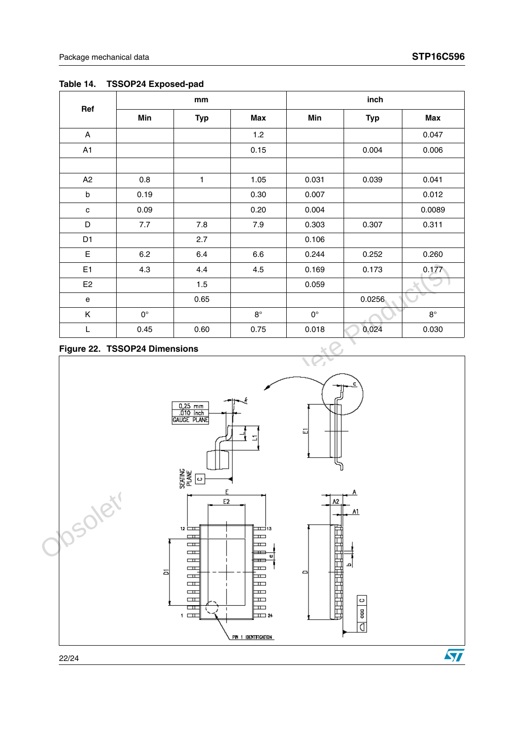|                |             | mm         |             |                    | inch       |             |
|----------------|-------------|------------|-------------|--------------------|------------|-------------|
| Ref            | Min         | <b>Typ</b> | Max         | Min                | <b>Typ</b> | Max         |
| A              |             |            | 1.2         |                    |            | 0.047       |
| A1             |             |            | 0.15        |                    | 0.004      | 0.006       |
|                |             |            |             |                    |            |             |
| A2             | 0.8         | 1          | 1.05        | 0.031              | 0.039      | 0.041       |
| $\mathsf b$    | 0.19        |            | 0.30        | 0.007              |            | 0.012       |
| $\mathbf{C}$   | 0.09        |            | 0.20        | 0.004              |            | 0.0089      |
| D              | 7.7         | 7.8        | 7.9         | 0.303              | 0.307      | 0.311       |
| D <sub>1</sub> |             | 2.7        |             | 0.106              |            |             |
| E              | 6.2         | 6.4        | 6.6         | 0.244              | 0.252      | 0.260       |
| E <sub>1</sub> | 4.3         | 4.4        | 4.5         | 0.169              | 0.173      | 0.177       |
| E <sub>2</sub> |             | 1.5        |             | 0.059              |            |             |
| e              |             | 0.65       |             |                    | 0.0256     |             |
| Κ              | $0^{\circ}$ |            | $8^{\circ}$ | $\mathsf{O}^\circ$ |            | $8^{\circ}$ |
| L              | 0.45        | 0.60       | 0.75        | 0.018              | 0.024      | 0.030       |

#### **Table 14. TSSOP24 Exposed-pad**

#### **Figure 22. TSSOP24 Dimensions**

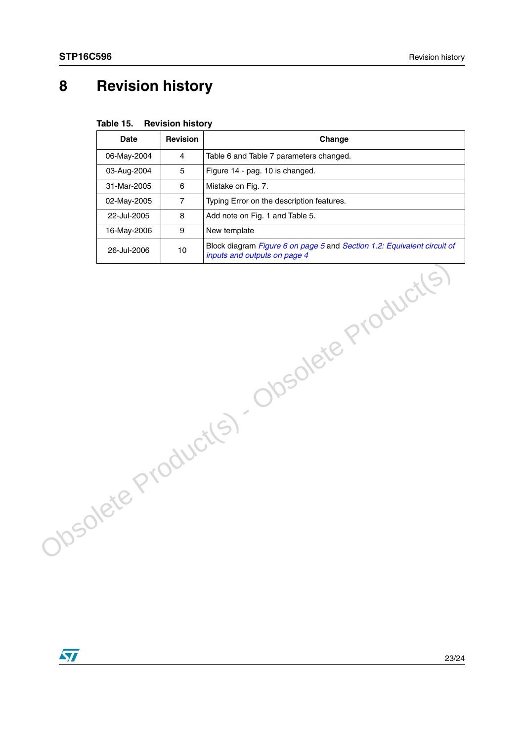## <span id="page-22-0"></span>**8 Revision history**

|                                           | <b>Date</b> | <b>Revision</b> | Change                                                                                                  |
|-------------------------------------------|-------------|-----------------|---------------------------------------------------------------------------------------------------------|
|                                           | 06-May-2004 | 4               | Table 6 and Table 7 parameters changed.                                                                 |
|                                           | 03-Aug-2004 | 5               | Figure 14 - pag. 10 is changed.                                                                         |
|                                           | 31-Mar-2005 | 6               | Mistake on Fig. 7.                                                                                      |
|                                           | 02-May-2005 | $\overline{7}$  | Typing Error on the description features.                                                               |
|                                           | 22-Jul-2005 | 8               | Add note on Fig. 1 and Table 5.                                                                         |
|                                           | 16-May-2006 | 9               | New template                                                                                            |
|                                           | 26-Jul-2006 | 10              | Block diagram Figure 6 on page 5 and Section 1.2: Equivalent circuit of<br>inputs and outputs on page 4 |
| Ibsolete Product(s) - Obsolete Product(s) |             |                 |                                                                                                         |

**Table 15. Revision history**